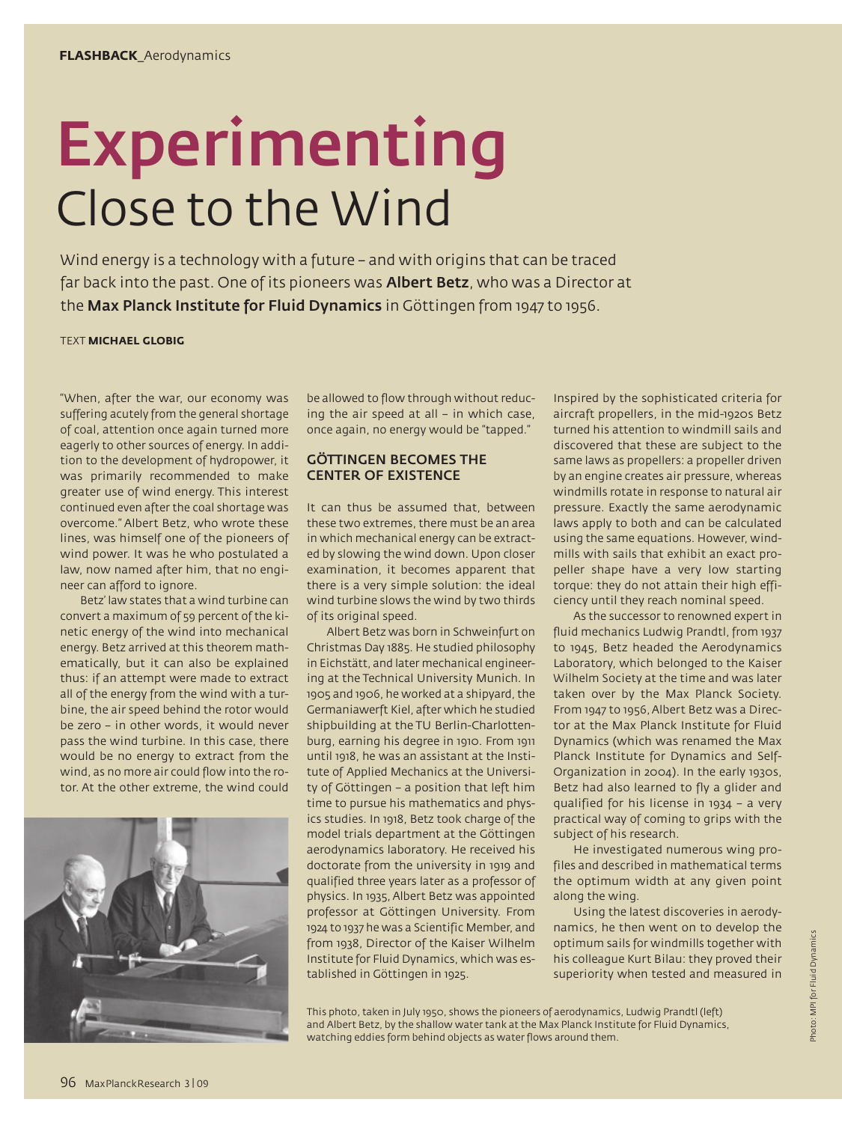# Experimenting Close to the Wind

Wind energy is a technology with a future – and with origins that can be traced far back into the past. One of its pioneers was **Albert Betz**, who was a Director at the Max Planck Institute for Fluid Dynamics in Göttingen from 1947 to 1956.

#### TEXT **MICHAEL GLOBIG**

"When, after the war, our economy was suffering acutely from the general shortage of coal, attention once again turned more eagerly to other sources of energy. In addition to the development of hydropower, it was primarily recommended to make greater use of wind energy. This interest continued even after the coal shortage was overcome." Albert Betz, who wrote these lines, was himself one of the pioneers of wind power. It was he who postulated a law, now named after him, that no engineer can afford to ignore.

Betz' law states that a wind turbine can convert a maximum of 59 percent of the kinetic energy of the wind into mechanical energy. Betz arrived at this theorem mathematically, but it can also be explained thus: if an attempt were made to extract all of the energy from the wind with a turbine, the air speed behind the rotor would be zero – in other words, it would never pass the wind turbine. In this case, there would be no energy to extract from the wind, as no more air could flow into the rotor. At the other extreme, the wind could



be allowed to flow through without reducing the air speed at all – in which case, once again, no energy would be "tapped."

### GÖTTINGEN BECOMES THE CENTER OF EXISTENCE

It can thus be assumed that, between these two extremes, there must be an area in which mechanical energy can be extracted by slowing the wind down. Upon closer examination, it becomes apparent that there is a very simple solution: the ideal wind turbine slows the wind by two thirds of its original speed.

Albert Betz was born in Schweinfurt on Christmas Day 1885. He studied philosophy in Eichstätt, and later mechanical engineering at the Technical University Munich. In 1905 and 1906, he worked at a shipyard, the Germaniawerft Kiel, after which he studied shipbuilding at the TU Berlin-Charlottenburg, earning his degree in 1910. From 1911 until 1918, he was an assistant at the Institute of Applied Mechanics at the University of Göttingen – a position that left him time to pursue his mathematics and physics studies. In 1918, Betz took charge of the model trials department at the Göttingen aerodynamics laboratory. He received his doctorate from the university in 1919 and qualified three years later as a professor of physics. In 1935, Albert Betz was appointed professor at Göttingen University. From 1924 to 1937 he was a Scientific Member, and from 1938, Director of the Kaiser Wilhelm Institute for Fluid Dynamics, which was established in Göttingen in 1925.

Inspired by the sophisticated criteria for aircraft propellers, in the mid-1920s Betz turned his attention to windmill sails and discovered that these are subject to the same laws as propellers: a propeller driven by an engine creates air pressure, whereas windmills rotate in response to natural air pressure. Exactly the same aerodynamic laws apply to both and can be calculated using the same equations. However, windmills with sails that exhibit an exact propeller shape have a very low starting torque: they do not attain their high efficiency until they reach nominal speed.

As the successor to renowned expert in fluid mechanics Ludwig Prandtl, from 1937 to 1945, Betz headed the Aerodynamics Laboratory, which belonged to the Kaiser Wilhelm Society at the time and was later taken over by the Max Planck Society. From 1947 to 1956, Albert Betz was a Director at the Max Planck Institute for Fluid Dynamics (which was renamed the Max Planck Institute for Dynamics and Self-Organization in 2004). In the early 1930s, Betz had also learned to fly a glider and qualified for his license in 1934 – a very practical way of coming to grips with the subject of his research.

He investigated numerous wing profiles and described in mathematical terms the optimum width at any given point along the wing.

Using the latest discoveries in aerodynamics, he then went on to develop the optimum sails for windmills together with his colleague Kurt Bilau: they proved their superiority when tested and measured in

This photo, taken in July 1950, shows the pioneers of aerodynamics, Ludwig Prandtl (left) and Albert Betz, by the shallow water tank at the Max Planck Institute for Fluid Dynamics, watching eddies form behind objects as water flows around them.